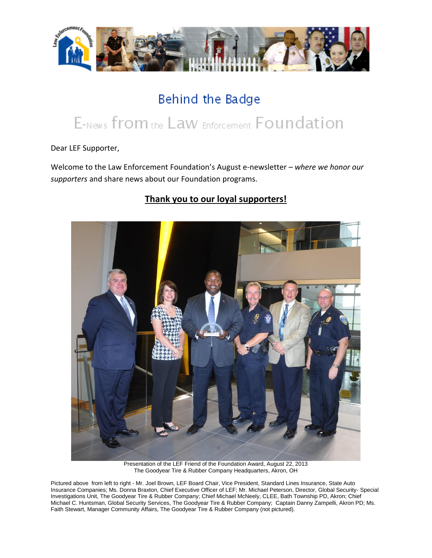

## Behind the Badge

# E-News from the Law Enforcement Foundation

Dear LEF Supporter,

Welcome to the Law Enforcement Foundation's August e-newsletter *– where we honor our supporters* and share news about our Foundation programs.

### **Thank you to our loyal supporters!**



Presentation of the LEF Friend of the Foundation Award, August 22, 2013 The Goodyear Tire & Rubber Company Headquarters, Akron, OH

Pictured above from left to right - Mr. Joel Brown, LEF Board Chair, Vice President, Standard Lines Insurance, State Auto Insurance Companies; Ms. Donna Braxton, Chief Executive Officer of LEF; Mr. Michael Peterson, Director, Global Security- Special Investigations Unit, The Goodyear Tire & Rubber Company; Chief Michael McNeely, CLEE, Bath Township PD, Akron; Chief Michael C. Huntsman, Global Security Services, The Goodyear Tire & Rubber Company; Captain Danny Zampelli, Akron PD; Ms. Faith Stewart, Manager Community Affairs, The Goodyear Tire & Rubber Company (not pictured).